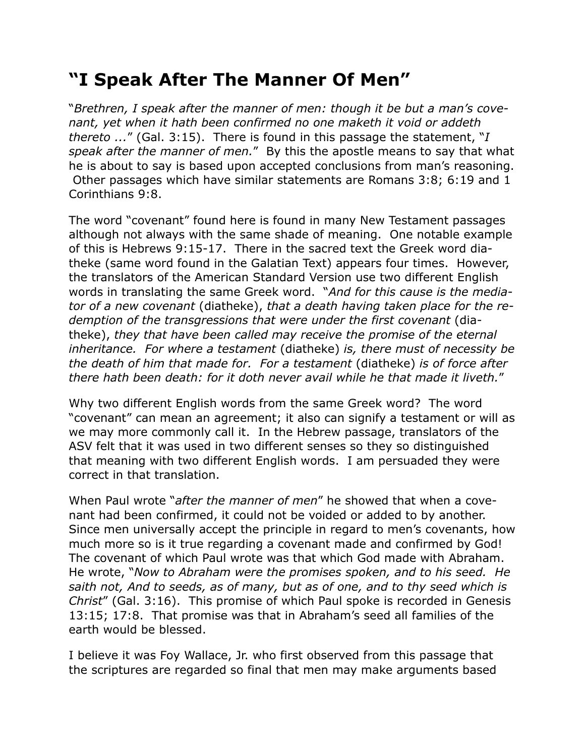## **"I Speak After The Manner Of Men"**

"*Brethren, I speak after the manner of men: though it be but a man's covenant, yet when it hath been confirmed no one maketh it void or addeth thereto ...*" (Gal. 3:15). There is found in this passage the statement, "*I speak after the manner of men.*" By this the apostle means to say that what he is about to say is based upon accepted conclusions from man's reasoning. Other passages which have similar statements are Romans 3:8; 6:19 and 1 Corinthians 9:8.

The word "covenant" found here is found in many New Testament passages although not always with the same shade of meaning. One notable example of this is Hebrews 9:15-17. There in the sacred text the Greek word diatheke (same word found in the Galatian Text) appears four times. However, the translators of the American Standard Version use two different English words in translating the same Greek word. "*And for this cause is the mediator of a new covenant* (diatheke), *that a death having taken place for the redemption of the transgressions that were under the first covenant* (diatheke), *they that have been called may receive the promise of the eternal inheritance. For where a testament* (diatheke) *is, there must of necessity be the death of him that made for. For a testament* (diatheke) *is of force after there hath been death: for it doth never avail while he that made it liveth.*"

Why two different English words from the same Greek word? The word "covenant" can mean an agreement; it also can signify a testament or will as we may more commonly call it. In the Hebrew passage, translators of the ASV felt that it was used in two different senses so they so distinguished that meaning with two different English words. I am persuaded they were correct in that translation.

When Paul wrote "*after the manner of men*" he showed that when a covenant had been confirmed, it could not be voided or added to by another. Since men universally accept the principle in regard to men's covenants, how much more so is it true regarding a covenant made and confirmed by God! The covenant of which Paul wrote was that which God made with Abraham. He wrote, "*Now to Abraham were the promises spoken, and to his seed. He saith not, And to seeds, as of many, but as of one, and to thy seed which is Christ*" (Gal. 3:16). This promise of which Paul spoke is recorded in Genesis 13:15; 17:8. That promise was that in Abraham's seed all families of the earth would be blessed.

I believe it was Foy Wallace, Jr. who first observed from this passage that the scriptures are regarded so final that men may make arguments based